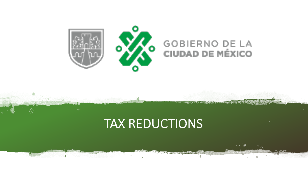

#### **GOBIERNO DE LA CIUDAD DE MÉXICO**

## TAX REDUCTIONS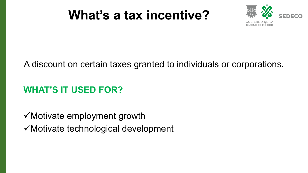## **What's a tax incentive?**



### A discount on certain taxes granted to individuals or corporations.

### **WHAT'S IT USED FOR?**

 $\checkmark$  Motivate employment growth  $\checkmark$  Motivate technological development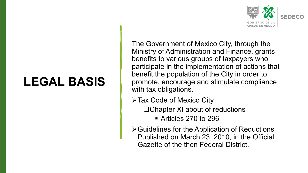### **LEGAL BASIS**



The Government of Mexico City, through the Ministry of Administration and Finance, grants benefits to various groups of taxpayers who participate in the implementation of actions that benefit the population of the City in order to promote, encourage and stimulate compliance with tax obligations.

- $\triangleright$  Tax Code of Mexico City
	- $\Box$ Chapter XI about of reductions

§ Articles 270 to 296

 $\triangleright$  Guidelines for the Application of Reductions Published on March 23, 2010, in the Official Gazette of the then Federal District.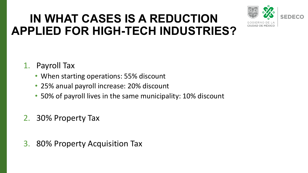## **IN WHAT CASES IS A REDUCTION APPLIED FOR HIGH-TECH INDUSTRIES?**



### 1. Payroll Tax

- When starting operations: 55% discount
- 25% anual payroll increase: 20% discount
- 50% of payroll lives in the same municipality: 10% discount
- 2. 30% Property Tax
- 3. 80% Property Acquisition Tax